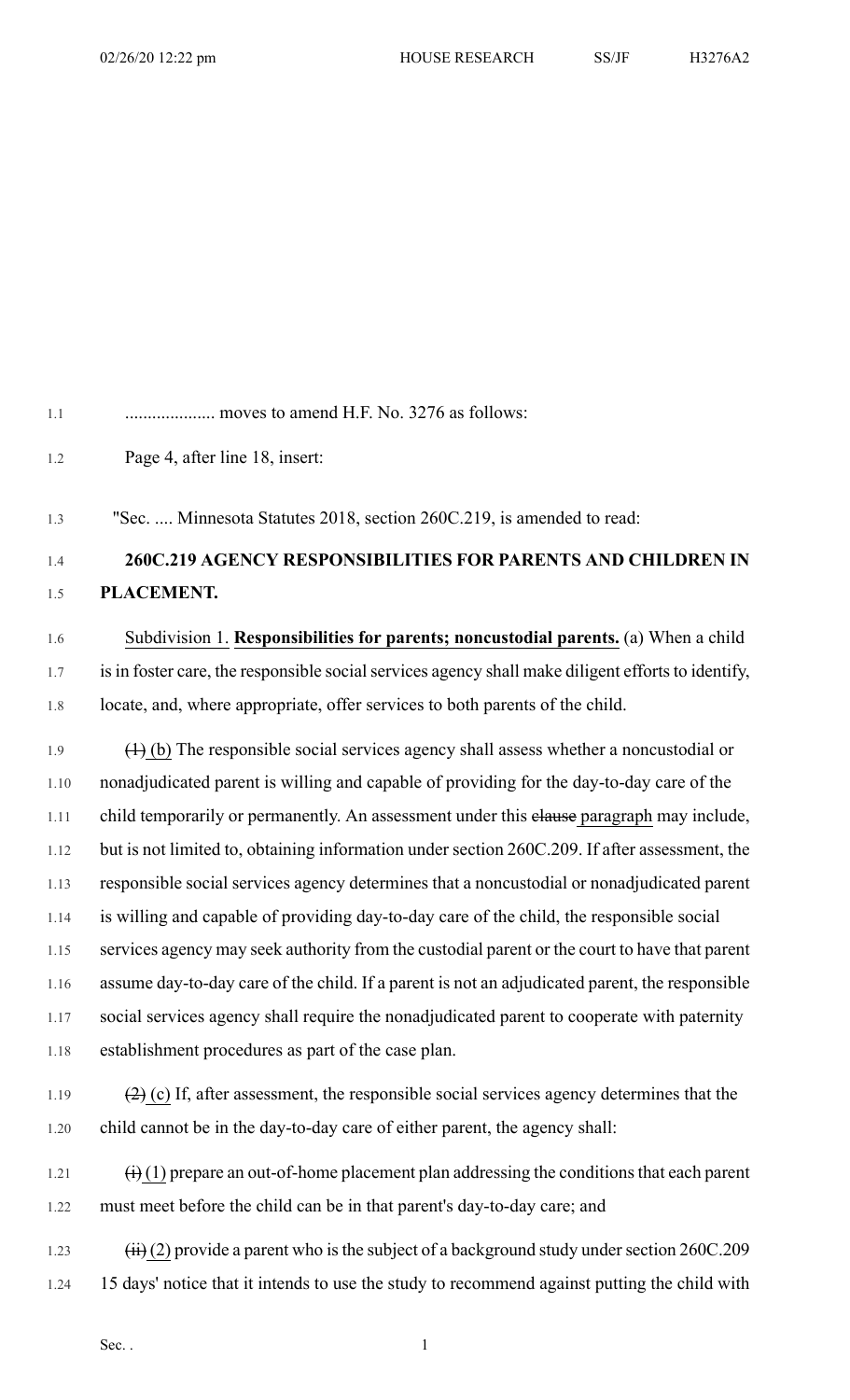1.1 .................... moves to amend H.F. No. 3276 as follows: 1.2 Page 4, after line 18, insert: 1.3 "Sec. .... Minnesota Statutes 2018, section 260C.219, is amended to read: 1.4 **260C.219 AGENCY RESPONSIBILITIES FOR PARENTS AND CHILDREN IN** 1.5 **PLACEMENT.** 1.6 Subdivision 1. **Responsibilities for parents; noncustodial parents.** (a) When a child 1.7 is in foster care, the responsible social services agency shall make diligent efforts to identify, 1.8 locate, and, where appropriate, offer services to both parents of the child. 1.9  $(\text{1})$  (b) The responsible social services agency shall assess whether a noncustodial or 1.10 nonadjudicated parent is willing and capable of providing for the day-to-day care of the 1.11 child temporarily or permanently. An assessment under this elause paragraph may include, 1.12 but is not limited to, obtaining information under section 260C.209. If after assessment, the 1.13 responsible social services agency determines that a noncustodial or nonadjudicated parent 1.14 is willing and capable of providing day-to-day care of the child, the responsible social 1.15 services agency may seek authority from the custodial parent or the court to have that parent 1.16 assume day-to-day care of the child. If a parent is not an adjudicated parent, the responsible 1.17 social services agency shall require the nonadjudicated parent to cooperate with paternity 1.18 establishment procedures as part of the case plan. 1.19  $(2)$  (c) If, after assessment, the responsible social services agency determines that the 1.20 child cannot be in the day-to-day care of either parent, the agency shall:

1.21  $(i)$  (1) prepare an out-of-home placement plan addressing the conditions that each parent 1.22 must meet before the child can be in that parent's day-to-day care; and

1.23  $(iii)$  (2) provide a parent who is the subject of a background study under section 260C.209 1.24 15 days' notice that it intends to use the study to recommend against putting the child with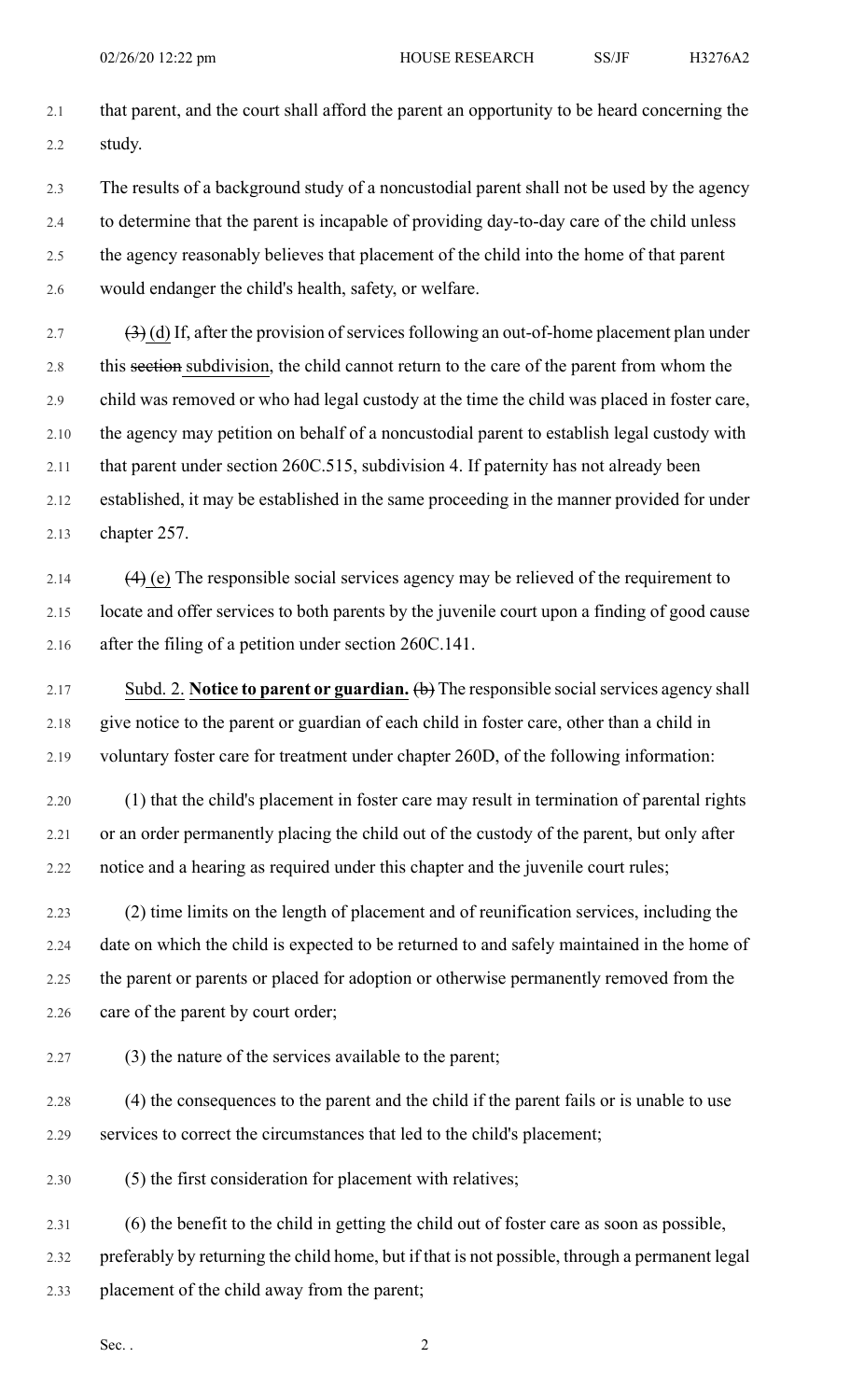2.1 that parent, and the court shall afford the parent an opportunity to be heard concerning the 2.2 study.

2.3 The results of a background study of a noncustodial parent shall not be used by the agency 2.4 to determine that the parent is incapable of providing day-to-day care of the child unless 2.5 the agency reasonably believes that placement of the child into the home of that parent

2.6 would endanger the child's health, safety, or welfare.

2.7  $(3)$  (d) If, after the provision of services following an out-of-home placement plan under 2.8 this section subdivision, the child cannot return to the care of the parent from whom the 2.9 child was removed or who had legal custody at the time the child was placed in foster care, 2.10 the agency may petition on behalf of a noncustodial parent to establish legal custody with 2.11 that parent under section 260C.515, subdivision 4. If paternity has not already been 2.12 established, it may be established in the same proceeding in the manner provided for under 2.13 chapter 257.

2.14 (4) (e) The responsible social services agency may be relieved of the requirement to 2.15 locate and offer services to both parents by the juvenile court upon a finding of good cause 2.16 after the filing of a petition under section 260C.141.

2.17 Subd. 2. **Notice to parent or guardian.** (b) The responsible socialservices agency shall 2.18 give notice to the parent or guardian of each child in foster care, other than a child in 2.19 voluntary foster care for treatment under chapter 260D, of the following information:

2.20 (1) that the child's placement in foster care may result in termination of parental rights 2.21 or an order permanently placing the child out of the custody of the parent, but only after 2.22 notice and a hearing as required under this chapter and the juvenile court rules;

2.23 (2) time limits on the length of placement and of reunification services, including the 2.24 date on which the child is expected to be returned to and safely maintained in the home of 2.25 the parent or parents or placed for adoption or otherwise permanently removed from the 2.26 care of the parent by court order;

2.27 (3) the nature of the services available to the parent;

2.28 (4) the consequences to the parent and the child if the parent fails or is unable to use 2.29 services to correct the circumstances that led to the child's placement;

2.30 (5) the first consideration for placement with relatives;

2.31 (6) the benefit to the child in getting the child out of foster care as soon as possible,

2.32 preferably by returning the child home, but if that is not possible, through a permanent legal

2.33 placement of the child away from the parent;

Sec.  $\cdot$  2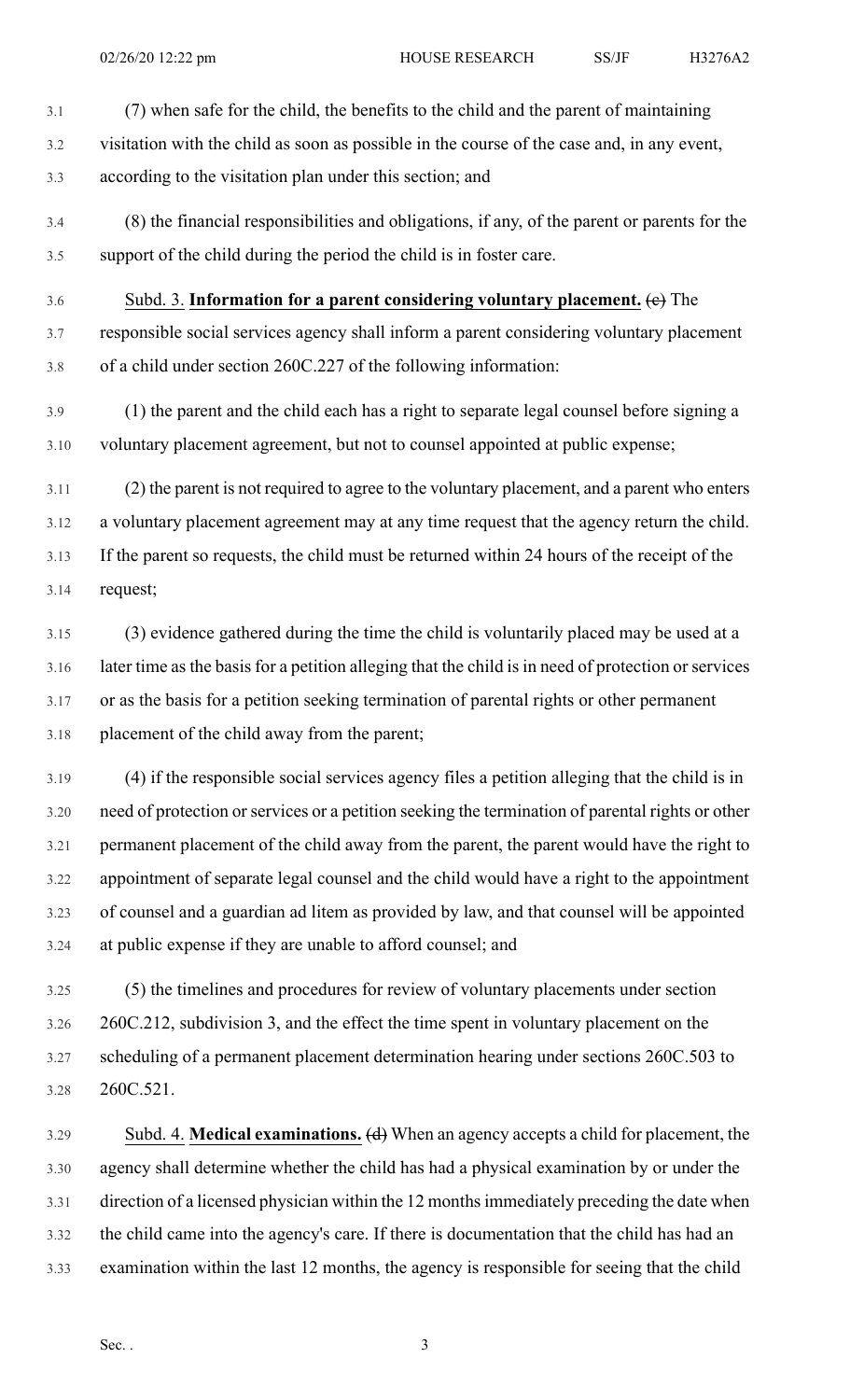- 3.1 (7) when safe for the child, the benefits to the child and the parent of maintaining 3.2 visitation with the child as soon as possible in the course of the case and, in any event, 3.3 according to the visitation plan under this section; and
- 3.4 (8) the financial responsibilities and obligations, if any, of the parent or parents for the 3.5 support of the child during the period the child is in foster care.
- 3.6 Subd. 3. **Information for a parent considering voluntary placement.** (c) The 3.7 responsible social services agency shall inform a parent considering voluntary placement 3.8 of a child under section 260C.227 of the following information:
- 3.9 (1) the parent and the child each has a right to separate legal counsel before signing a 3.10 voluntary placement agreement, but not to counsel appointed at public expense;
- 3.11 (2) the parent is not required to agree to the voluntary placement, and a parent who enters 3.12 a voluntary placement agreement may at any time request that the agency return the child. 3.13 If the parent so requests, the child must be returned within 24 hours of the receipt of the 3.14 request;
- 3.15 (3) evidence gathered during the time the child is voluntarily placed may be used at a 3.16 later time as the basis for a petition alleging that the child is in need of protection or services 3.17 or as the basis for a petition seeking termination of parental rights or other permanent 3.18 placement of the child away from the parent;
- 3.19 (4) if the responsible social services agency files a petition alleging that the child is in 3.20 need of protection or services or a petition seeking the termination of parental rights or other 3.21 permanent placement of the child away from the parent, the parent would have the right to 3.22 appointment of separate legal counsel and the child would have a right to the appointment 3.23 of counsel and a guardian ad litem as provided by law, and that counsel will be appointed 3.24 at public expense if they are unable to afford counsel; and
- 3.25 (5) the timelines and procedures for review of voluntary placements under section 3.26 260C.212, subdivision 3, and the effect the time spent in voluntary placement on the 3.27 scheduling of a permanent placement determination hearing under sections 260C.503 to 3.28 260C.521.
- 3.29 Subd. 4. **Medical examinations.** (d) When an agency accepts a child for placement, the 3.30 agency shall determine whether the child has had a physical examination by or under the 3.31 direction of a licensed physician within the 12 monthsimmediately preceding the date when 3.32 the child came into the agency's care. If there is documentation that the child has had an 3.33 examination within the last 12 months, the agency is responsible for seeing that the child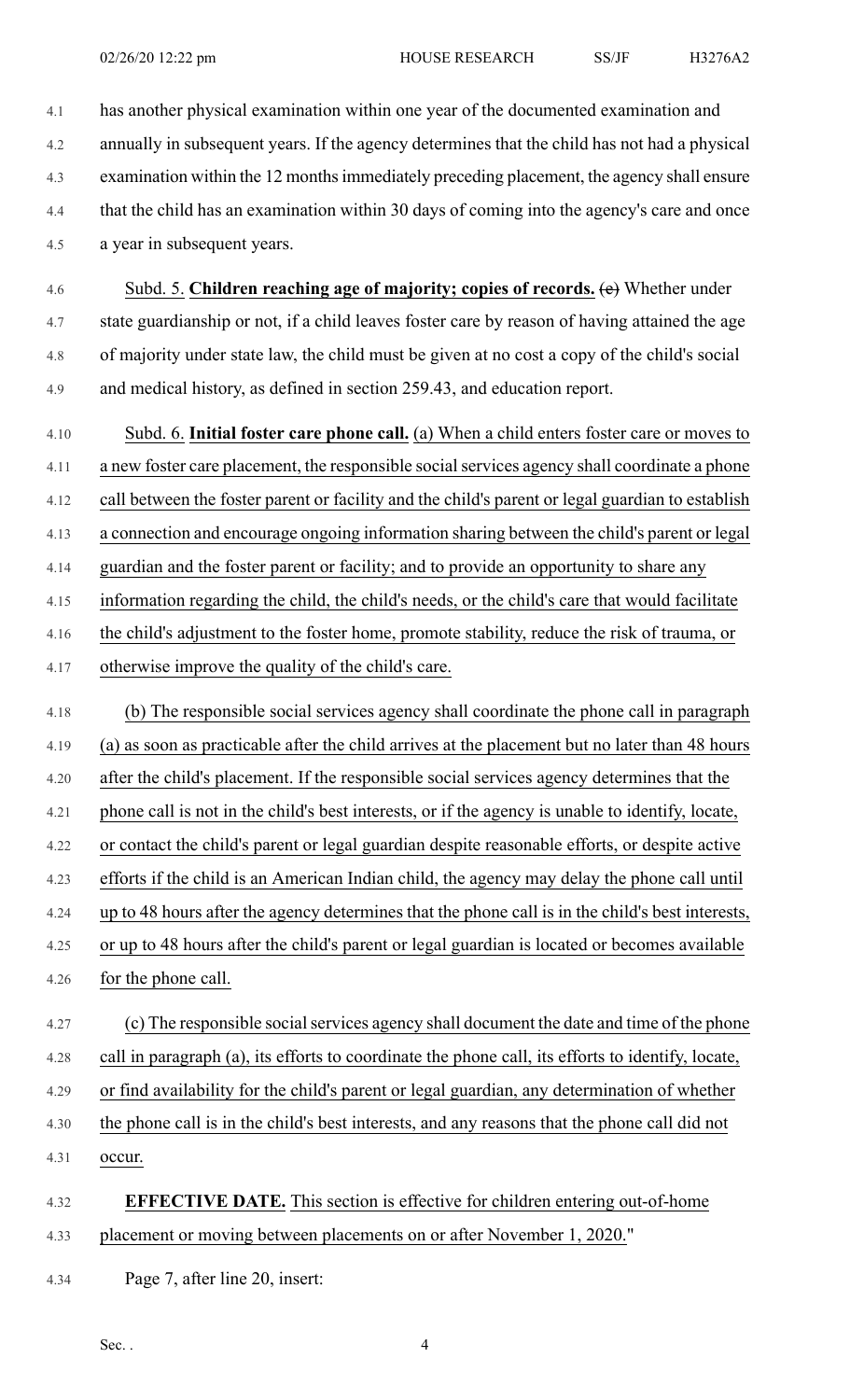4.1 has another physical examination within one year of the documented examination and 4.2 annually in subsequent years. If the agency determines that the child has not had a physical 4.3 examination within the 12 monthsimmediately preceding placement, the agency shall ensure 4.4 that the child has an examination within 30 days of coming into the agency's care and once 4.5 a year in subsequent years.

4.6 Subd. 5. **Children reaching age of majority; copies of records.** (e) Whether under 4.7 state guardianship or not, if a child leaves foster care by reason of having attained the age 4.8 of majority under state law, the child must be given at no cost a copy of the child's social 4.9 and medical history, as defined in section 259.43, and education report.

4.10 Subd. 6. **Initial foster care phone call.** (a) When a child enters foster care or moves to 4.11 a new foster care placement, the responsible socialservices agency shall coordinate a phone 4.12 call between the foster parent or facility and the child's parent or legal guardian to establish 4.13 a connection and encourage ongoing information sharing between the child's parent or legal 4.14 guardian and the foster parent or facility; and to provide an opportunity to share any 4.15 information regarding the child, the child's needs, or the child's care that would facilitate 4.16 the child's adjustment to the foster home, promote stability, reduce the risk of trauma, or 4.17 otherwise improve the quality of the child's care. 4.18 (b) The responsible social services agency shall coordinate the phone call in paragraph

4.19 (a) as soon as practicable after the child arrives at the placement but no later than 48 hours 4.20 after the child's placement. If the responsible social services agency determines that the 4.21 phone call is not in the child's best interests, or if the agency is unable to identify, locate, 4.22 or contact the child's parent or legal guardian despite reasonable efforts, or despite active 4.23 efforts if the child is an American Indian child, the agency may delay the phone call until 4.24 up to 48 hours after the agency determines that the phone call is in the child's best interests, 4.25 or up to 48 hours after the child's parent or legal guardian is located or becomes available 4.26 for the phone call. 4.27 (c) The responsible social services agency shall document the date and time of the phone

4.28 call in paragraph (a), its efforts to coordinate the phone call, its efforts to identify, locate, 4.29 or find availability for the child's parent or legal guardian, any determination of whether

- 4.30 the phone call is in the child's best interests, and any reasons that the phone call did not
- 4.31 occur.

## 4.32 **EFFECTIVE DATE.** This section is effective for children entering out-of-home 4.33 placement or moving between placements on or after November 1, 2020."

4.34 Page 7, after line 20, insert: